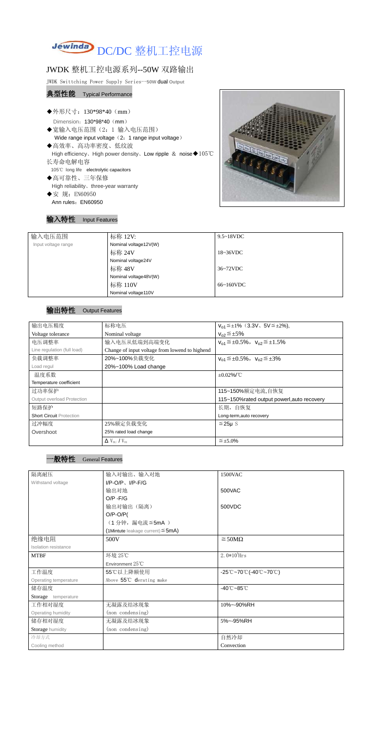

## JWDK 整机工控电源系列--50W 双路输出

JWDK Swittching Power Supply Series--**50W** dual **Output**

- ◆宽输入电压范围(2:1 输入电压范围) Wide range input voltage (2: 1 range input voltage)
- ◆高效率、高功率密度、低纹波
- High efficiency、High power density、Low ripple & noise◆105℃ 长寿命电解电容
- 105℃ long life electrolytic capacitors
- ◆高可靠性、三年保修 High reliability、three-year warranty
- ◆安 规: EN60950 Ann rules: EN60950



## 典型性能 Typical Performance

◆外形尺寸: 130\*98\*40 (mm)

Dimension: 130\*98\*40 (mm)

## 输入特性 Input Features

| 输入电压范围              | 标称 12V:               | $9.5 \sim 18$ VDC   |  |
|---------------------|-----------------------|---------------------|--|
| Input voltage range | Nominal voltage12V(W) |                     |  |
|                     | 标称 24V                | $18~36\textrm{VDC}$ |  |
|                     | Nominal voltage24V    |                     |  |
|                     | 标称 48V                | 36~72VDC            |  |
|                     | Nominal voltage48V(W) |                     |  |
|                     | 标称 110V               | $66~160$ VDC        |  |
|                     | Nominal voltage110V   |                     |  |

## 输出特性 Output Features



| 输出电压精度                          | 标称电压                                           | $V_{01} \leq \pm 1\%$ (3.3V, 5V $\leq \pm 2\%$ ), |
|---------------------------------|------------------------------------------------|---------------------------------------------------|
| Voltage tolerance               | Nominal voltage                                | $V_{02} \leq \pm 5\%$                             |
| 电压调整率                           | 输入电压从低端到高端变化                                   | $V_{01} \leq \pm 0.5\%$ , $V_{02} \leq \pm 1.5\%$ |
| Line regulation (full load)     | Change of input voltage from lowend to highend |                                                   |
| 负载调整率                           | 20%~100%负载变化                                   | $V_{01} \leq \pm 0.5\%$ , $V_{02} \leq \pm 3\%$   |
| Load regul                      | 20%~100% Load change                           |                                                   |
| 温度系数                            |                                                | $\pm 0.02\%$ /°C                                  |
| Temperature coefficient         |                                                |                                                   |
| 过功率保护                           |                                                | 115~150%额定电流,自恢复                                  |
| Output overload Protection      |                                                | 115~150% rated output powerl, auto recovery       |
| 短路保护                            |                                                | 长期, 自恢复                                           |
| <b>Short Circuit Protection</b> |                                                | Long-term, auto recovery                          |
| 过冲幅度                            | 25%额定负载变化                                      | $≤25\mu$ S                                        |
| Overshoot                       | 25% rated load change                          |                                                   |
|                                 | $\Delta$ V <sub>01</sub> /V <sub>01</sub>      | $\leq \pm 5.0\%$                                  |

| 隔离耐压                  | 输入对输出、输入对地                             | 1500VAC                                                                               |
|-----------------------|----------------------------------------|---------------------------------------------------------------------------------------|
| Withstand voltage     | $I/P-O/P$ , $I/P-F/G$                  |                                                                                       |
|                       | 输出对地                                   | 500VAC                                                                                |
|                       | $O/P - F/G$                            |                                                                                       |
|                       | 输出对输出(隔离)                              | 500VDC                                                                                |
|                       | $O/P-O/P($                             |                                                                                       |
|                       | (1分钟,漏电流≦5mA)                          |                                                                                       |
|                       | (1Mintute leakage current) $\leq$ 5mA) |                                                                                       |
| 绝缘电阻                  | 500V                                   | $\geq$ 50M $\Omega$                                                                   |
| Isolation resistance  |                                        |                                                                                       |
| <b>MTBF</b>           | 环境 25℃                                 | $2.0*105$ Hrs                                                                         |
|                       | Environment 25°C                       |                                                                                       |
| 工作温度                  | 55℃以上降额使用                              | $-25^{\circ}\text{C}-70^{\circ}\text{C}$ (-40 $^{\circ}\text{C}-70^{\circ}\text{C}$ ) |
| Operating temperature | Above 55℃ derating make                |                                                                                       |
| 储存温度                  |                                        | $-40^{\circ}$ C $-85^{\circ}$ C                                                       |
| Storage temperature   |                                        |                                                                                       |
| 工作相对湿度                | 无凝露及结冰现象                               | 10%~-90%RH                                                                            |
| Operating humidity    | (non condensing)                       |                                                                                       |
| 储存相对湿度                | 无凝露及结冰现象                               | 5%~-95%RH                                                                             |
| Storage humidity      | (non condensing)                       |                                                                                       |
| 冷却方式                  |                                        | 自然冷却                                                                                  |
| Cooling method        |                                        | Convection                                                                            |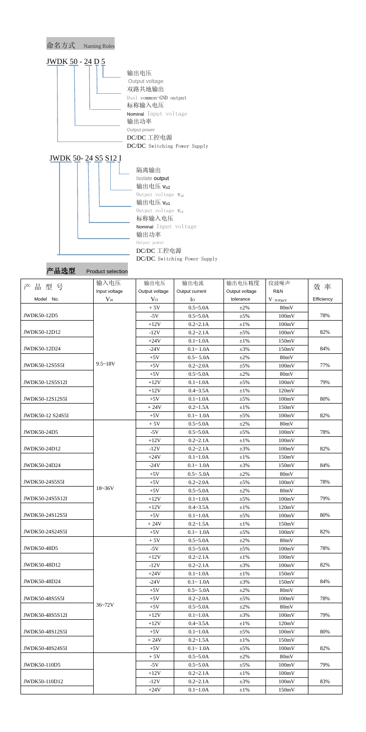

产品选型 Product selection

|                       | 输入电压          | 输出电压           | 输出电流           | 输出电压精度         | 纹波噪声                                   |            |
|-----------------------|---------------|----------------|----------------|----------------|----------------------------------------|------------|
| 产<br>品型号              | Input voltage | Output voltage | Output current | Output voltage | R&N                                    | 效 率        |
| Model No.             | $V_{in}$      | V <sub>O</sub> | $I_{\rm O}$    | tolerance      | $V$ $\mathrm{(}p\text{-}p\mathrm{)}mV$ | Efficiency |
|                       |               | $+5V$          | $0.5 - 5.0A$   | $\pm 2\%$      | 80mV                                   |            |
| JWDK50-12D5           |               | $-5V$          | $0.5 - 5.0A$   | $\pm 5\%$      | 100mV                                  | 78%        |
|                       |               | $+12V$         | $0.2 - 2.1A$   | $\pm 1\%$      | 100mV                                  |            |
| JWDK50-12D12          |               | $-12V$         | $0.2 - 2.1A$   | $\pm 5\%$      | 100mV                                  | 82%        |
|                       |               | $+24V$         | $0.1 - 1.0A$   | $\pm 1\%$      | 150mV                                  |            |
| JWDK50-12D24          |               | $-24V$         | $0.1 - 1.0A$   | $\pm 3\%$      | 150mV                                  | 84%        |
|                       |               | $+5V$          | $0.5 - 5.0A$   | $\pm 2\%$      | 80mV                                   |            |
| JWDK50-12S5S5I        | $9.5 - 18V$   | $+5V$          | $0.2 - 2.0A$   | $\pm 5\%$      | 100mV                                  | 77%        |
|                       |               | $+5V$          | $0.5 - 5.0A$   | $\pm 2\%$      | 80mV                                   |            |
| JWDK50-12S5S12I       |               | $+12V$         | $0.1 - 1.0A$   | $\pm 5\%$      | 100mV                                  | 79%        |
|                       |               | $+12V$         | $0.4 - 3.5A$   | $\pm 1\%$      | 120mV                                  |            |
| JWDK50-12S12S5I       |               | $+5V$          | $0.1 - 1.0A$   | $\pm 5\%$      | 100mV                                  | 80%        |
|                       |               | $+24V$         | $0.2 - 1.5A$   | $\pm 1\%$      | 150mV                                  |            |
| JWDK50-12 S24S5I      |               | $+5V$          | $0.1 - 1.0A$   | $\pm 5\%$      | 100mV                                  | 82%        |
|                       |               | $+5V$          | $0.5 - 5.0A$   | $\pm 2\%$      | 80mV                                   |            |
| JWDK50-24D5           |               | $-5V$          | $0.5 - 5.0A$   | $\pm 5\%$      | 100mV                                  | 78%        |
|                       |               | $+12V$         | $0.2 - 2.1A$   | $\pm 1\%$      | 100mV                                  |            |
| JWDK50-24D12          |               | $-12V$         | $0.2 - 2.1A$   | $\pm 3\%$      | 100mV                                  | 82%        |
|                       |               | $+24V$         | $0.1 - 1.0A$   | $\pm 1\%$      | 150mV                                  |            |
| JWDK50-24D24          |               | $-24V$         | $0.1 - 1.0A$   | $\pm 3\%$      | 150mV                                  | 84%        |
|                       |               | $+5V$          | $0.5 - 5.0A$   | $\pm 2\%$      | 80mV                                   |            |
| JWDK50-24S5S5I        |               | $+5V$          | $0.2 - 2.0A$   | $\pm 5\%$      | 100mV                                  | 78%        |
|                       | $18 - 36V$    | $+5V$          | $0.5 - 5.0A$   | $\pm 2\%$      | 80mV                                   |            |
| JWDK50-24S5S12I       |               | $+12V$         | $0.1 - 1.0A$   | $\pm$ 5%       | 100mV                                  | 79%        |
|                       |               | $+12V$         | $0.4 - 3.5A$   | $\pm 1\%$      | 120mV                                  |            |
| JWDK50-24S12S5I       |               | $+5V$          | $0.1 - 1.0A$   | $±5\%$         | 100mV                                  | 80%        |
|                       |               | $+24V$         | $0.2 - 1.5A$   | $\pm 1\%$      | 150mV                                  |            |
| JWDK50-24S24S5I       |               | $+5V$          | $0.1 - 1.0A$   | $±5\%$         | 100mV                                  | 82%        |
|                       |               | $+5V$          | $0.5 - 5.0A$   | $\pm 2\%$      | 80mV                                   |            |
| <b>JWDK50-48D5</b>    |               | $-5V$          | $0.5 - 5.0A$   | $±5\%$         | 100mV                                  | 78%        |
|                       |               | $+12V$         | $0.2 - 2.1A$   | $\pm 1\%$      | 100mV                                  |            |
| JWDK50-48D12          |               | $-12V$         | $0.2 - 2.1A$   | $\pm 3\%$      | 100mV                                  | 82%        |
|                       |               | $+24V$         | $0.1 - 1.0A$   | $\pm 1\%$      | 150mV                                  |            |
| JWDK50-48D24          |               | $-24V$         | $0.1 - 1.0A$   | $\pm 3\%$      | 150mV                                  | 84%        |
|                       |               | $+5V$          | $0.5 - 5.0A$   | $\pm 2\%$      | 80mV                                   |            |
| <b>JWDK50-48S5S5I</b> |               | $+5V$          | $0.2 - 2.0A$   | $\pm$ 5%       | 100mV                                  | 78%        |
|                       | $36 - 72V$    | $+5V$          | $0.5 - 5.0A$   | $\pm 2\%$      | 80mV                                   |            |
| JWDK50-48S5S12I       |               | $+12V$         | $0.1 - 1.0A$   | $\pm 3\%$      | 100mV                                  | 79%        |
|                       |               | $+12V$         | $0.4 - 3.5A$   | $\pm 1\%$      | 120mV                                  |            |
| JWDK50-48S12S5I       |               | $+5V$          | $0.1 - 1.0A$   | $±5\%$         | 100mV                                  | 80%        |
|                       |               | $+24V$         | $0.2 - 1.5A$   | $\pm 1\%$      | 150mV                                  |            |
| JWDK50-48S24S5I       |               | $+5V$          | $0.1 - 1.0A$   | $\pm$ 5%       | 100mV                                  | 82%        |
|                       |               | $+5V$          | $0.5 - 5.0A$   | $\pm 2\%$      | 80mV                                   |            |
| JWDK50-110D5          |               | $-5V$          | $0.5 - 5.0A$   | $±5\%$         | 100mV                                  | 79%        |
|                       |               | $+12V$         | $0.2 - 2.1A$   | $\pm 1\%$      | 100mV                                  |            |
| JWDK50-110D12         |               | $-12V$         | $0.2 - 2.1A$   | $\pm 3\%$      | 100mV                                  | 83%        |
|                       |               | $+24V$         | $0.1 - 1.0A$   | $\pm 1\%$      | 150mV                                  |            |